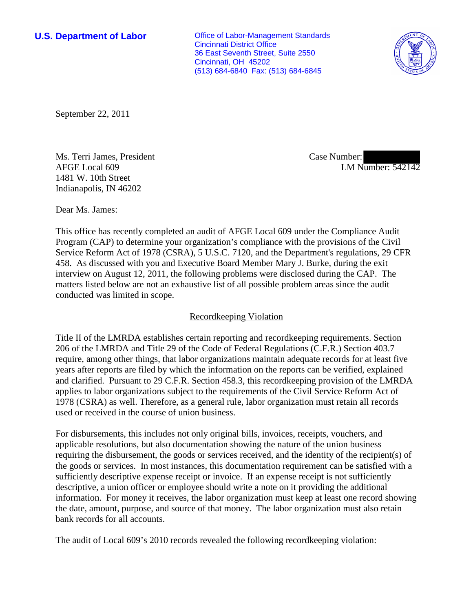**U.S. Department of Labor Conservative Conservative Conservative Conservative Conservative Conservative Conservative Conservative Conservative Conservative Conservative Conservative Conservative Conservative Conservative** Cincinnati District Office 36 East Seventh Street, Suite 2550 Cincinnati, OH 45202 (513) 684-6840 Fax: (513) 684-6845



September 22, 2011

Ms. Terri James, President AFGE Local 609 1481 W. 10th Street Indianapolis, IN 46202

Case Number: LM Number: 542142

Dear Ms. James:

This office has recently completed an audit of AFGE Local 609 under the Compliance Audit Program (CAP) to determine your organization's compliance with the provisions of the Civil Service Reform Act of 1978 (CSRA), 5 U.S.C. 7120, and the Department's regulations, 29 CFR 458. As discussed with you and Executive Board Member Mary J. Burke, during the exit interview on August 12, 2011, the following problems were disclosed during the CAP. The matters listed below are not an exhaustive list of all possible problem areas since the audit conducted was limited in scope.

# Recordkeeping Violation

Title II of the LMRDA establishes certain reporting and recordkeeping requirements. Section 206 of the LMRDA and Title 29 of the Code of Federal Regulations (C.F.R.) Section 403.7 require, among other things, that labor organizations maintain adequate records for at least five years after reports are filed by which the information on the reports can be verified, explained and clarified. Pursuant to 29 C.F.R. Section 458.3, this recordkeeping provision of the LMRDA applies to labor organizations subject to the requirements of the Civil Service Reform Act of 1978 (CSRA) as well. Therefore, as a general rule, labor organization must retain all records used or received in the course of union business.

For disbursements, this includes not only original bills, invoices, receipts, vouchers, and applicable resolutions, but also documentation showing the nature of the union business requiring the disbursement, the goods or services received, and the identity of the recipient(s) of the goods or services. In most instances, this documentation requirement can be satisfied with a sufficiently descriptive expense receipt or invoice. If an expense receipt is not sufficiently descriptive, a union officer or employee should write a note on it providing the additional information. For money it receives, the labor organization must keep at least one record showing the date, amount, purpose, and source of that money. The labor organization must also retain bank records for all accounts.

The audit of Local 609's 2010 records revealed the following recordkeeping violation: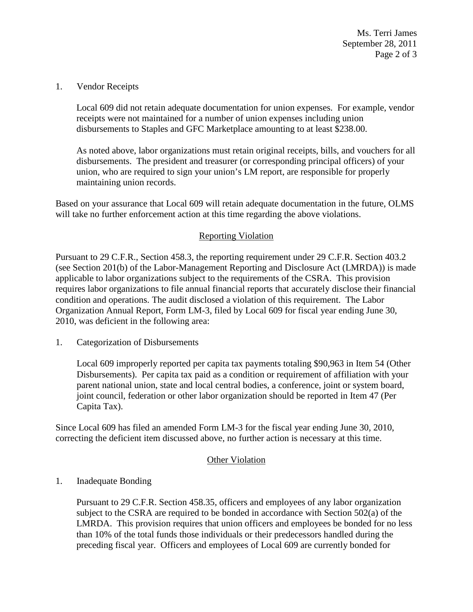Ms. Terri James September 28, 2011 Page 2 of 3

#### 1. Vendor Receipts

Local 609 did not retain adequate documentation for union expenses. For example, vendor receipts were not maintained for a number of union expenses including union disbursements to Staples and GFC Marketplace amounting to at least \$238.00.

As noted above, labor organizations must retain original receipts, bills, and vouchers for all disbursements. The president and treasurer (or corresponding principal officers) of your union, who are required to sign your union's LM report, are responsible for properly maintaining union records.

Based on your assurance that Local 609 will retain adequate documentation in the future, OLMS will take no further enforcement action at this time regarding the above violations.

### Reporting Violation

Pursuant to 29 C.F.R., Section 458.3, the reporting requirement under 29 C.F.R. Section 403.2 (see Section 201(b) of the Labor-Management Reporting and Disclosure Act (LMRDA)) is made applicable to labor organizations subject to the requirements of the CSRA. This provision requires labor organizations to file annual financial reports that accurately disclose their financial condition and operations. The audit disclosed a violation of this requirement. The Labor Organization Annual Report, Form LM-3, filed by Local 609 for fiscal year ending June 30, 2010, was deficient in the following area:

1. Categorization of Disbursements

Local 609 improperly reported per capita tax payments totaling \$90,963 in Item 54 (Other Disbursements). Per capita tax paid as a condition or requirement of affiliation with your parent national union, state and local central bodies, a conference, joint or system board, joint council, federation or other labor organization should be reported in Item 47 (Per Capita Tax).

Since Local 609 has filed an amended Form LM-3 for the fiscal year ending June 30, 2010, correcting the deficient item discussed above, no further action is necessary at this time.

### Other Violation

### 1. Inadequate Bonding

Pursuant to 29 C.F.R. Section 458.35, officers and employees of any labor organization subject to the CSRA are required to be bonded in accordance with Section 502(a) of the LMRDA. This provision requires that union officers and employees be bonded for no less than 10% of the total funds those individuals or their predecessors handled during the preceding fiscal year. Officers and employees of Local 609 are currently bonded for